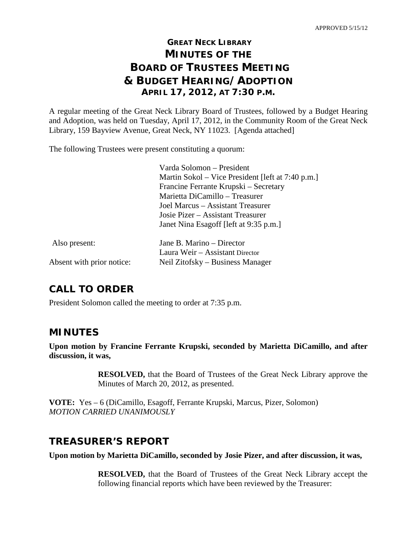# **GREAT NECK LIBRARY MINUTES OF THE BOARD OF TRUSTEES MEETING & BUDGET HEARING/ADOPTION APRIL 17, 2012, AT 7:30 P.M.**

A regular meeting of the Great Neck Library Board of Trustees, followed by a Budget Hearing and Adoption, was held on Tuesday, April 17, 2012, in the Community Room of the Great Neck Library, 159 Bayview Avenue, Great Neck, NY 11023. [Agenda attached]

The following Trustees were present constituting a quorum:

|                           | Varda Solomon - President                         |
|---------------------------|---------------------------------------------------|
|                           | Martin Sokol – Vice President [left at 7:40 p.m.] |
|                           | Francine Ferrante Krupski – Secretary             |
|                           | Marietta DiCamillo – Treasurer                    |
|                           | Joel Marcus – Assistant Treasurer                 |
|                           | Josie Pizer – Assistant Treasurer                 |
|                           | Janet Nina Esagoff [left at 9:35 p.m.]            |
| Also present:             | Jane B. Marino – Director                         |
|                           | Laura Weir - Assistant Director                   |
| Absent with prior notice: | Neil Zitofsky – Business Manager                  |
|                           |                                                   |

# **CALL TO ORDER**

President Solomon called the meeting to order at 7:35 p.m.

### **MINUTES**

**Upon motion by Francine Ferrante Krupski, seconded by Marietta DiCamillo, and after discussion, it was,**

> **RESOLVED,** that the Board of Trustees of the Great Neck Library approve the Minutes of March 20, 2012, as presented.

**VOTE:** Yes – 6 (DiCamillo, Esagoff, Ferrante Krupski, Marcus, Pizer, Solomon) *MOTION CARRIED UNANIMOUSLY*

# **TREASURER'S REPORT**

**Upon motion by Marietta DiCamillo, seconded by Josie Pizer, and after discussion, it was,**

**RESOLVED,** that the Board of Trustees of the Great Neck Library accept the following financial reports which have been reviewed by the Treasurer: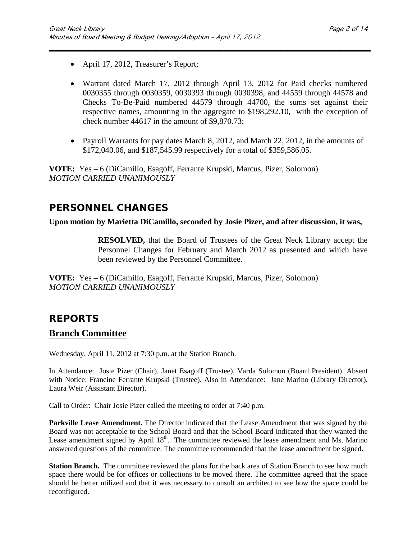- April 17, 2012, Treasurer's Report;
- Warrant dated March 17, 2012 through April 13, 2012 for Paid checks numbered 0030355 through 0030359, 0030393 through 0030398, and 44559 through 44578 and Checks To-Be-Paid numbered 44579 through 44700, the sums set against their respective names, amounting in the aggregate to \$198,292.10, with the exception of check number 44617 in the amount of \$9,870.73;

\_\_\_\_\_\_\_\_\_\_\_\_\_\_\_\_\_\_\_\_\_\_\_\_\_\_\_\_\_\_\_\_\_\_\_\_\_\_\_\_\_\_\_\_\_\_\_\_\_\_\_\_\_\_\_\_\_\_\_

• Payroll Warrants for pay dates March 8, 2012, and March 22, 2012, in the amounts of \$172,040.06, and \$187,545.99 respectively for a total of \$359,586.05.

**VOTE:** Yes – 6 (DiCamillo, Esagoff, Ferrante Krupski, Marcus, Pizer, Solomon) *MOTION CARRIED UNANIMOUSLY*

# **PERSONNEL CHANGES**

#### **Upon motion by Marietta DiCamillo, seconded by Josie Pizer, and after discussion, it was,**

**RESOLVED,** that the Board of Trustees of the Great Neck Library accept the Personnel Changes for February and March 2012 as presented and which have been reviewed by the Personnel Committee.

**VOTE:** Yes – 6 (DiCamillo, Esagoff, Ferrante Krupski, Marcus, Pizer, Solomon) *MOTION CARRIED UNANIMOUSLY*

# **REPORTS**

### **Branch Committee**

Wednesday, April 11, 2012 at 7:30 p.m. at the Station Branch.

In Attendance: Josie Pizer (Chair), Janet Esagoff (Trustee), Varda Solomon (Board President). Absent with Notice: Francine Ferrante Krupski (Trustee). Also in Attendance: Jane Marino (Library Director), Laura Weir (Assistant Director).

Call to Order:Chair Josie Pizer called the meeting to order at 7:40 p.m.

**Parkville Lease Amendment.** The Director indicated that the Lease Amendment that was signed by the Board was not acceptable to the School Board and that the School Board indicated that they wanted the Lease amendment signed by April  $18<sup>th</sup>$ . The committee reviewed the lease amendment and Ms. Marino answered questions of the committee. The committee recommended that the lease amendment be signed.

**Station Branch.** The committee reviewed the plans for the back area of Station Branch to see how much space there would be for offices or collections to be moved there. The committee agreed that the space should be better utilized and that it was necessary to consult an architect to see how the space could be reconfigured.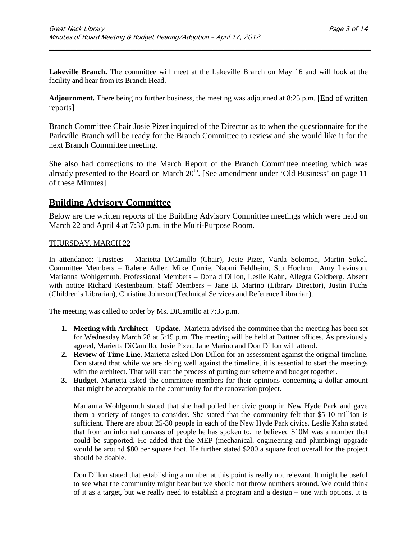**Lakeville Branch.** The committee will meet at the Lakeville Branch on May 16 and will look at the facility and hear from its Branch Head.

\_\_\_\_\_\_\_\_\_\_\_\_\_\_\_\_\_\_\_\_\_\_\_\_\_\_\_\_\_\_\_\_\_\_\_\_\_\_\_\_\_\_\_\_\_\_\_\_\_\_\_\_\_\_\_\_\_\_\_

**Adjournment.** There being no further business, the meeting was adjourned at 8:25 p.m. [End of written reports]

Branch Committee Chair Josie Pizer inquired of the Director as to when the questionnaire for the Parkville Branch will be ready for the Branch Committee to review and she would like it for the next Branch Committee meeting.

She also had corrections to the March Report of the Branch Committee meeting which was already presented to the Board on March  $20^{th}$ . [See amendment under 'Old Business' on page 11 of these Minutes]

### **Building Advisory Committee**

Below are the written reports of the Building Advisory Committee meetings which were held on March 22 and April 4 at 7:30 p.m. in the Multi-Purpose Room.

#### THURSDAY, MARCH 22

In attendance: Trustees – Marietta DiCamillo (Chair), Josie Pizer, Varda Solomon, Martin Sokol. Committee Members – Ralene Adler, Mike Currie, Naomi Feldheim, Stu Hochron, Amy Levinson, Marianna Wohlgemuth. Professional Members – Donald Dillon, Leslie Kahn, Allegra Goldberg. Absent with notice Richard Kestenbaum. Staff Members – Jane B. Marino (Library Director), Justin Fuchs (Children's Librarian), Christine Johnson (Technical Services and Reference Librarian).

The meeting was called to order by Ms. DiCamillo at 7:35 p.m.

- **1. Meeting with Architect – Update.** Marietta advised the committee that the meeting has been set for Wednesday March 28 at 5:15 p.m. The meeting will be held at Dattner offices. As previously agreed, Marietta DiCamillo, Josie Pizer, Jane Marino and Don Dillon will attend.
- **2. Review of Time Line.** Marietta asked Don Dillon for an assessment against the original timeline. Don stated that while we are doing well against the timeline, it is essential to start the meetings with the architect. That will start the process of putting our scheme and budget together.
- **3. Budget.** Marietta asked the committee members for their opinions concerning a dollar amount that might be acceptable to the community for the renovation project.

Marianna Wohlgemuth stated that she had polled her civic group in New Hyde Park and gave them a variety of ranges to consider. She stated that the community felt that \$5-10 million is sufficient. There are about 25-30 people in each of the New Hyde Park civics. Leslie Kahn stated that from an informal canvass of people he has spoken to, he believed \$10M was a number that could be supported. He added that the MEP (mechanical, engineering and plumbing) upgrade would be around \$80 per square foot. He further stated \$200 a square foot overall for the project should be doable.

Don Dillon stated that establishing a number at this point is really not relevant. It might be useful to see what the community might bear but we shouId not throw numbers around. We could think of it as a target, but we really need to establish a program and a design – one with options. It is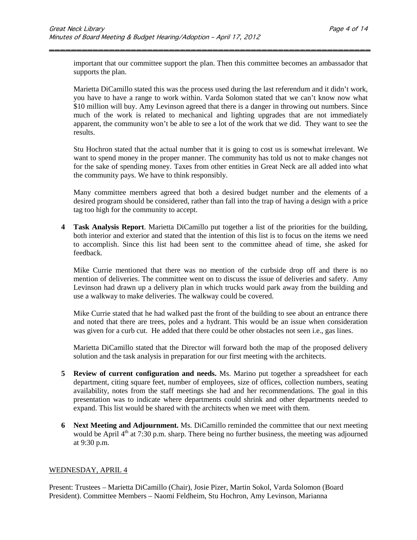important that our committee support the plan. Then this committee becomes an ambassador that supports the plan.

\_\_\_\_\_\_\_\_\_\_\_\_\_\_\_\_\_\_\_\_\_\_\_\_\_\_\_\_\_\_\_\_\_\_\_\_\_\_\_\_\_\_\_\_\_\_\_\_\_\_\_\_\_\_\_\_\_\_\_

Marietta DiCamillo stated this was the process used during the last referendum and it didn't work, you have to have a range to work within. Varda Solomon stated that we can't know now what \$10 million will buy. Amy Levinson agreed that there is a danger in throwing out numbers. Since much of the work is related to mechanical and lighting upgrades that are not immediately apparent, the community won't be able to see a lot of the work that we did. They want to see the results.

Stu Hochron stated that the actual number that it is going to cost us is somewhat irrelevant. We want to spend money in the proper manner. The community has told us not to make changes not for the sake of spending money. Taxes from other entities in Great Neck are all added into what the community pays. We have to think responsibly.

Many committee members agreed that both a desired budget number and the elements of a desired program should be considered, rather than fall into the trap of having a design with a price tag too high for the community to accept.

**4 Task Analysis Report**. Marietta DiCamillo put together a list of the priorities for the building, both interior and exterior and stated that the intention of this list is to focus on the items we need to accomplish. Since this list had been sent to the committee ahead of time, she asked for feedback.

Mike Currie mentioned that there was no mention of the curbside drop off and there is no mention of deliveries. The committee went on to discuss the issue of deliveries and safety. Amy Levinson had drawn up a delivery plan in which trucks would park away from the building and use a walkway to make deliveries. The walkway could be covered.

Mike Currie stated that he had walked past the front of the building to see about an entrance there and noted that there are trees, poles and a hydrant. This would be an issue when consideration was given for a curb cut. He added that there could be other obstacles not seen i.e., gas lines.

Marietta DiCamillo stated that the Director will forward both the map of the proposed delivery solution and the task analysis in preparation for our first meeting with the architects.

- **5 Review of current configuration and needs.** Ms. Marino put together a spreadsheet for each department, citing square feet, number of employees, size of offices, collection numbers, seating availability, notes from the staff meetings she had and her recommendations. The goal in this presentation was to indicate where departments could shrink and other departments needed to expand. This list would be shared with the architects when we meet with them.
- **6 Next Meeting and Adjournment.** Ms. DiCamillo reminded the committee that our next meeting would be April 4<sup>th</sup> at 7:30 p.m. sharp. There being no further business, the meeting was adjourned at 9:30 p.m.

#### WEDNESDAY, APRIL 4

Present: Trustees – Marietta DiCamillo (Chair), Josie Pizer, Martin Sokol, Varda Solomon (Board President). Committee Members – Naomi Feldheim, Stu Hochron, Amy Levinson, Marianna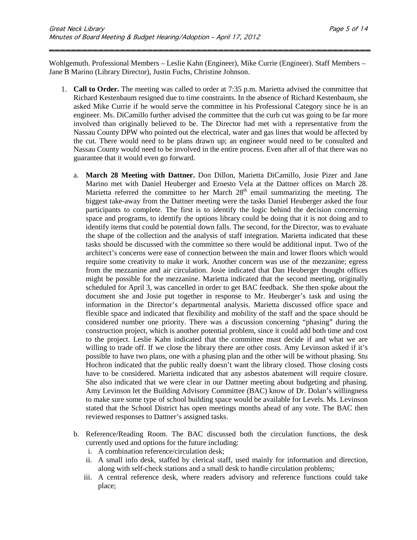Wohlgemuth. Professional Members – Leslie Kahn (Engineer), Mike Currie (Engineer). Staff Members – Jane B Marino (Library Director), Justin Fuchs, Christine Johnson.

\_\_\_\_\_\_\_\_\_\_\_\_\_\_\_\_\_\_\_\_\_\_\_\_\_\_\_\_\_\_\_\_\_\_\_\_\_\_\_\_\_\_\_\_\_\_\_\_\_\_\_\_\_\_\_\_\_\_\_

- 1. **Call to Order.** The meeting was called to order at 7:35 p.m. Marietta advised the committee that Richard Kestenbaum resigned due to time constraints. In the absence of Richard Kestenbaum, she asked Mike Currie if he would serve the committee in his Professional Category since he is an engineer. Ms. DiCamillo further advised the committee that the curb cut was going to be far more involved than originally believed to be. The Director had met with a representative from the Nassau County DPW who pointed out the electrical, water and gas lines that would be affected by the cut. There would need to be plans drawn up; an engineer would need to be consulted and Nassau County would need to be involved in the entire process. Even after all of that there was no guarantee that it would even go forward.
	- a. **March 28 Meeting with Dattner.** Don Dillon, Marietta DiCamillo, Josie Pizer and Jane Marino met with Daniel Heuberger and Ernesto Vela at the Dattner offices on March 28. Marietta referred the committee to her March  $28<sup>th</sup>$  email summarizing the meeting. The biggest take-away from the Dattner meeting were the tasks Daniel Heuberger asked the four participants to complete. The first is to identify the logic behind the decision concerning space and programs, to identify the options library could be doing that it is not doing and to identify items that could be potential down falls. The second, for the Director, was to evaluate the shape of the collection and the analysis of staff integration. Marietta indicated that these tasks should be discussed with the committee so there would be additional input. Two of the architect's concerns were ease of connection between the main and lower floors which would require some creativity to make it work. Another concern was use of the mezzanine; egress from the mezzanine and air circulation. Josie indicated that Dan Heuberger thought offices might be possible for the mezzanine. Marietta indicated that the second meeting, originally scheduled for April 3, was cancelled in order to get BAC feedback. She then spoke about the document she and Josie put together in response to Mr. Heuberger's task and using the information in the Director's departmental analysis. Marietta discussed office space and flexible space and indicated that flexibility and mobility of the staff and the space should be considered number one priority. There was a discussion concerning "phasing" during the construction project, which is another potential problem, since it could add both time and cost to the project. Leslie Kahn indicated that the committee must decide if and what we are willing to trade off. If we close the library there are other costs. Amy Levinson asked if it's possible to have two plans, one with a phasing plan and the other will be without phasing. Stu Hochron indicated that the public really doesn't want the library closed. Those closing costs have to be considered. Marietta indicated that any asbestos abatement will require closure. She also indicated that we were clear in our Dattner meeting about budgeting and phasing. Amy Levinson let the Building Advisory Committee (BAC) know of Dr. Dolan's willingness to make sure some type of school building space would be available for Levels. Ms. Levinson stated that the School District has open meetings months ahead of any vote. The BAC then reviewed responses to Dattner's assigned tasks.
	- b. Reference/Reading Room. The BAC discussed both the circulation functions, the desk currently used and options for the future including:
		- i. A combination reference/circulation desk;
		- ii. A small info desk, staffed by clerical staff, used mainly for information and direction, along with self-check stations and a small desk to handle circulation problems;
		- iii. A central reference desk, where readers advisory and reference functions could take place;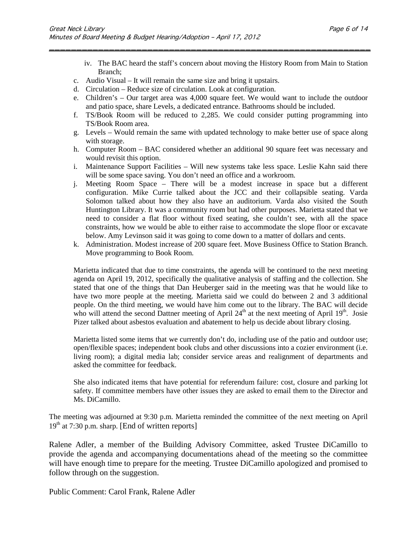iv. The BAC heard the staff's concern about moving the History Room from Main to Station Branch;

\_\_\_\_\_\_\_\_\_\_\_\_\_\_\_\_\_\_\_\_\_\_\_\_\_\_\_\_\_\_\_\_\_\_\_\_\_\_\_\_\_\_\_\_\_\_\_\_\_\_\_\_\_\_\_\_\_\_\_

- c. Audio Visual It will remain the same size and bring it upstairs.
- d. Circulation Reduce size of circulation. Look at configuration.
- e. Children's Our target area was 4,000 square feet. We would want to include the outdoor and patio space, share Levels, a dedicated entrance. Bathrooms should be included.
- f. TS/Book Room will be reduced to 2,285. We could consider putting programming into TS/Book Room area.
- g. Levels Would remain the same with updated technology to make better use of space along with storage.
- h. Computer Room BAC considered whether an additional 90 square feet was necessary and would revisit this option.
- i. Maintenance Support Facilities Will new systems take less space. Leslie Kahn said there will be some space saving. You don't need an office and a workroom.
- j. Meeting Room Space There will be a modest increase in space but a different configuration. Mike Currie talked about the JCC and their collapsible seating. Varda Solomon talked about how they also have an auditorium. Varda also visited the South Huntington Library. It was a community room but had other purposes. Marietta stated that we need to consider a flat floor without fixed seating, she couldn't see, with all the space constraints, how we would be able to either raise to accommodate the slope floor or excavate below. Amy Levinson said it was going to come down to a matter of dollars and cents.
- k. Administration. Modest increase of 200 square feet. Move Business Office to Station Branch. Move programming to Book Room.

Marietta indicated that due to time constraints, the agenda will be continued to the next meeting agenda on April 19, 2012, specifically the qualitative analysis of staffing and the collection. She stated that one of the things that Dan Heuberger said in the meeting was that he would like to have two more people at the meeting. Marietta said we could do between 2 and 3 additional people. On the third meeting, we would have him come out to the library. The BAC will decide who will attend the second Dattner meeting of April  $24<sup>th</sup>$  at the next meeting of April  $19<sup>th</sup>$ . Josie Pizer talked about asbestos evaluation and abatement to help us decide about library closing.

Marietta listed some items that we currently don't do, including use of the patio and outdoor use; open/flexible spaces; independent book clubs and other discussions into a cozier environment (i.e. living room); a digital media lab; consider service areas and realignment of departments and asked the committee for feedback.

She also indicated items that have potential for referendum failure: cost, closure and parking lot safety. If committee members have other issues they are asked to email them to the Director and Ms. DiCamillo.

The meeting was adjourned at 9:30 p.m. Marietta reminded the committee of the next meeting on April  $19<sup>th</sup>$  at 7:30 p.m. sharp. [End of written reports]

Ralene Adler, a member of the Building Advisory Committee, asked Trustee DiCamillo to provide the agenda and accompanying documentations ahead of the meeting so the committee will have enough time to prepare for the meeting. Trustee DiCamillo apologized and promised to follow through on the suggestion.

Public Comment: Carol Frank, Ralene Adler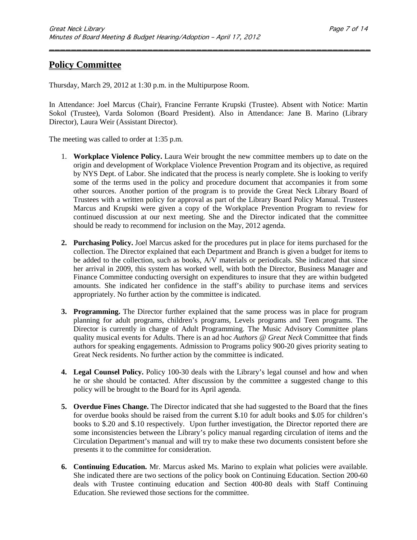### **Policy Committee**

Thursday, March 29, 2012 at 1:30 p.m. in the Multipurpose Room.

In Attendance: Joel Marcus (Chair), Francine Ferrante Krupski (Trustee). Absent with Notice: Martin Sokol (Trustee), Varda Solomon (Board President). Also in Attendance: Jane B. Marino (Library Director), Laura Weir (Assistant Director).

\_\_\_\_\_\_\_\_\_\_\_\_\_\_\_\_\_\_\_\_\_\_\_\_\_\_\_\_\_\_\_\_\_\_\_\_\_\_\_\_\_\_\_\_\_\_\_\_\_\_\_\_\_\_\_\_\_\_\_

The meeting was called to order at 1:35 p.m.

- 1. **Workplace Violence Policy.** Laura Weir brought the new committee members up to date on the origin and development of Workplace Violence Prevention Program and its objective, as required by NYS Dept. of Labor. She indicated that the process is nearly complete. She is looking to verify some of the terms used in the policy and procedure document that accompanies it from some other sources. Another portion of the program is to provide the Great Neck Library Board of Trustees with a written policy for approval as part of the Library Board Policy Manual. Trustees Marcus and Krupski were given a copy of the Workplace Prevention Program to review for continued discussion at our next meeting. She and the Director indicated that the committee should be ready to recommend for inclusion on the May, 2012 agenda.
- **2. Purchasing Policy.** Joel Marcus asked for the procedures put in place for items purchased for the collection. The Director explained that each Department and Branch is given a budget for items to be added to the collection, such as books, A/V materials or periodicals. She indicated that since her arrival in 2009, this system has worked well, with both the Director, Business Manager and Finance Committee conducting oversight on expenditures to insure that they are within budgeted amounts. She indicated her confidence in the staff's ability to purchase items and services appropriately. No further action by the committee is indicated.
- **3. Programming.** The Director further explained that the same process was in place for program planning for adult programs, children's programs, Levels programs and Teen programs. The Director is currently in charge of Adult Programming. The Music Advisory Committee plans quality musical events for Adults. There is an ad hoc *Authors @ Great Neck* Committee that finds authors for speaking engagements. Admission to Programs policy 900-20 gives priority seating to Great Neck residents. No further action by the committee is indicated.
- **4. Legal Counsel Policy.** Policy 100-30 deals with the Library's legal counsel and how and when he or she should be contacted. After discussion by the committee a suggested change to this policy will be brought to the Board for its April agenda.
- **5. Overdue Fines Change.** The Director indicated that she had suggested to the Board that the fines for overdue books should be raised from the current \$.10 for adult books and \$.05 for children's books to \$.20 and \$.10 respectively. Upon further investigation, the Director reported there are some inconsistencies between the Library's policy manual regarding circulation of items and the Circulation Department's manual and will try to make these two documents consistent before she presents it to the committee for consideration.
- **6. Continuing Education.** Mr. Marcus asked Ms. Marino to explain what policies were available. She indicated there are two sections of the policy book on Continuing Education. Section 200-60 deals with Trustee continuing education and Section 400-80 deals with Staff Continuing Education. She reviewed those sections for the committee.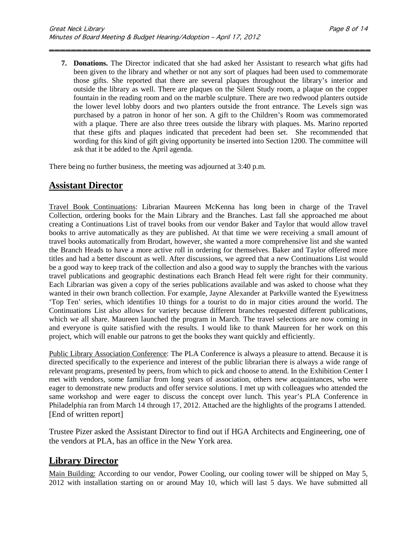**7. Donations.** The Director indicated that she had asked her Assistant to research what gifts had been given to the library and whether or not any sort of plaques had been used to commemorate those gifts. She reported that there are several plaques throughout the library's interior and outside the library as well. There are plaques on the Silent Study room, a plaque on the copper fountain in the reading room and on the marble sculpture. There are two redwood planters outside the lower level lobby doors and two planters outside the front entrance. The Levels sign was purchased by a patron in honor of her son. A gift to the Children's Room was commemorated with a plaque. There are also three trees outside the library with plaques. Ms. Marino reported that these gifts and plaques indicated that precedent had been set. She recommended that wording for this kind of gift giving opportunity be inserted into Section 1200. The committee will ask that it be added to the April agenda.

\_\_\_\_\_\_\_\_\_\_\_\_\_\_\_\_\_\_\_\_\_\_\_\_\_\_\_\_\_\_\_\_\_\_\_\_\_\_\_\_\_\_\_\_\_\_\_\_\_\_\_\_\_\_\_\_\_\_\_

There being no further business, the meeting was adjourned at 3:40 p.m.

### **Assistant Director**

Travel Book Continuations: Librarian Maureen McKenna has long been in charge of the Travel Collection, ordering books for the Main Library and the Branches. Last fall she approached me about creating a Continuations List of travel books from our vendor Baker and Taylor that would allow travel books to arrive automatically as they are published. At that time we were receiving a small amount of travel books automatically from Brodart, however, she wanted a more comprehensive list and she wanted the Branch Heads to have a more active roll in ordering for themselves. Baker and Taylor offered more titles and had a better discount as well. After discussions, we agreed that a new Continuations List would be a good way to keep track of the collection and also a good way to supply the branches with the various travel publications and geographic destinations each Branch Head felt were right for their community. Each Librarian was given a copy of the series publications available and was asked to choose what they wanted in their own branch collection. For example, Jayne Alexander at Parkville wanted the Eyewitness 'Top Ten' series, which identifies 10 things for a tourist to do in major cities around the world. The Continuations List also allows for variety because different branches requested different publications, which we all share. Maureen launched the program in March. The travel selections are now coming in and everyone is quite satisfied with the results. I would like to thank Maureen for her work on this project, which will enable our patrons to get the books they want quickly and efficiently.

Public Library Association Conference: The PLA Conference is always a pleasure to attend. Because it is directed specifically to the experience and interest of the public librarian there is always a wide range of relevant programs, presented by peers, from which to pick and choose to attend. In the Exhibition Center I met with vendors, some familiar from long years of association, others new acquaintances, who were eager to demonstrate new products and offer service solutions. I met up with colleagues who attended the same workshop and were eager to discuss the concept over lunch. This year's PLA Conference in Philadelphia ran from March 14 through 17, 2012. Attached are the highlights of the programs I attended. [End of written report]

Trustee Pizer asked the Assistant Director to find out if HGA Architects and Engineering, one of the vendors at PLA, has an office in the New York area.

### **Library Director**

Main Building: According to our vendor, Power Cooling, our cooling tower will be shipped on May 5, 2012 with installation starting on or around May 10, which will last 5 days. We have submitted all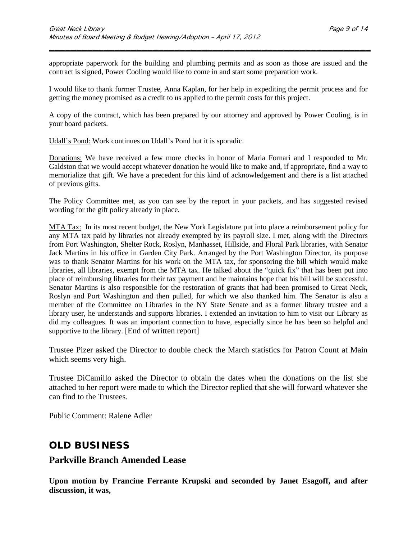appropriate paperwork for the building and plumbing permits and as soon as those are issued and the contract is signed, Power Cooling would like to come in and start some preparation work.

\_\_\_\_\_\_\_\_\_\_\_\_\_\_\_\_\_\_\_\_\_\_\_\_\_\_\_\_\_\_\_\_\_\_\_\_\_\_\_\_\_\_\_\_\_\_\_\_\_\_\_\_\_\_\_\_\_\_\_

I would like to thank former Trustee, Anna Kaplan, for her help in expediting the permit process and for getting the money promised as a credit to us applied to the permit costs for this project.

A copy of the contract, which has been prepared by our attorney and approved by Power Cooling, is in your board packets.

Udall's Pond: Work continues on Udall's Pond but it is sporadic.

Donations: We have received a few more checks in honor of Maria Fornari and I responded to Mr. Galdston that we would accept whatever donation he would like to make and, if appropriate, find a way to memorialize that gift. We have a precedent for this kind of acknowledgement and there is a list attached of previous gifts.

The Policy Committee met, as you can see by the report in your packets, and has suggested revised wording for the gift policy already in place.

MTA Tax:In its most recent budget, the New York Legislature put into place a reimbursement policy for any MTA tax paid by libraries not already exempted by its payroll size. I met, along with the Directors from Port Washington, Shelter Rock, Roslyn, Manhasset, Hillside, and Floral Park libraries, with Senator Jack Martins in his office in Garden City Park. Arranged by the Port Washington Director, its purpose was to thank Senator Martins for his work on the MTA tax, for sponsoring the bill which would make libraries, all libraries, exempt from the MTA tax. He talked about the "quick fix" that has been put into place of reimbursing libraries for their tax payment and he maintains hope that his bill will be successful. Senator Martins is also responsible for the restoration of grants that had been promised to Great Neck, Roslyn and Port Washington and then pulled, for which we also thanked him. The Senator is also a member of the Committee on Libraries in the NY State Senate and as a former library trustee and a library user, he understands and supports libraries. I extended an invitation to him to visit our Library as did my colleagues. It was an important connection to have, especially since he has been so helpful and supportive to the library. [End of written report]

Trustee Pizer asked the Director to double check the March statistics for Patron Count at Main which seems very high.

Trustee DiCamillo asked the Director to obtain the dates when the donations on the list she attached to her report were made to which the Director replied that she will forward whatever she can find to the Trustees.

Public Comment: Ralene Adler

### **OLD BUSINESS**

#### **Parkville Branch Amended Lease**

**Upon motion by Francine Ferrante Krupski and seconded by Janet Esagoff, and after discussion, it was,**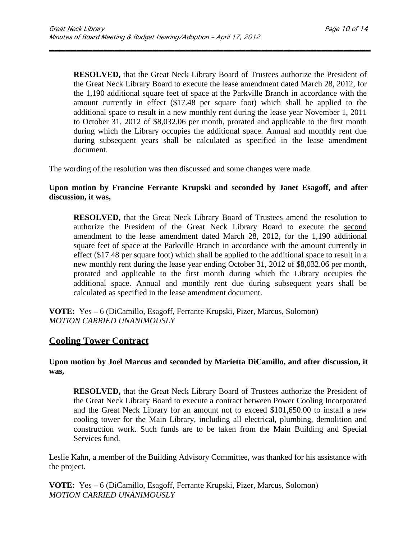**RESOLVED,** that the Great Neck Library Board of Trustees authorize the President of the Great Neck Library Board to execute the lease amendment dated March 28, 2012, for the 1,190 additional square feet of space at the Parkville Branch in accordance with the amount currently in effect (\$17.48 per square foot) which shall be applied to the additional space to result in a new monthly rent during the lease year November 1, 2011 to October 31, 2012 of \$8,032.06 per month, prorated and applicable to the first month during which the Library occupies the additional space. Annual and monthly rent due during subsequent years shall be calculated as specified in the lease amendment document.

\_\_\_\_\_\_\_\_\_\_\_\_\_\_\_\_\_\_\_\_\_\_\_\_\_\_\_\_\_\_\_\_\_\_\_\_\_\_\_\_\_\_\_\_\_\_\_\_\_\_\_\_\_\_\_\_\_\_\_

The wording of the resolution was then discussed and some changes were made.

#### **Upon motion by Francine Ferrante Krupski and seconded by Janet Esagoff, and after discussion, it was,**

**RESOLVED,** that the Great Neck Library Board of Trustees amend the resolution to authorize the President of the Great Neck Library Board to execute the second amendment to the lease amendment dated March 28, 2012, for the 1,190 additional square feet of space at the Parkville Branch in accordance with the amount currently in effect (\$17.48 per square foot) which shall be applied to the additional space to result in a new monthly rent during the lease year ending October 31, 2012 of \$8,032.06 per month, prorated and applicable to the first month during which the Library occupies the additional space. Annual and monthly rent due during subsequent years shall be calculated as specified in the lease amendment document.

**VOTE:** Yes **–** 6 (DiCamillo, Esagoff, Ferrante Krupski, Pizer, Marcus, Solomon) *MOTION CARRIED UNANIMOUSLY*

### **Cooling Tower Contract**

#### **Upon motion by Joel Marcus and seconded by Marietta DiCamillo, and after discussion, it was,**

**RESOLVED,** that the Great Neck Library Board of Trustees authorize the President of the Great Neck Library Board to execute a contract between Power Cooling Incorporated and the Great Neck Library for an amount not to exceed \$101,650.00 to install a new cooling tower for the Main Library, including all electrical, plumbing, demolition and construction work. Such funds are to be taken from the Main Building and Special Services fund.

Leslie Kahn, a member of the Building Advisory Committee, was thanked for his assistance with the project.

**VOTE:** Yes **–** 6 (DiCamillo, Esagoff, Ferrante Krupski, Pizer, Marcus, Solomon) *MOTION CARRIED UNANIMOUSLY*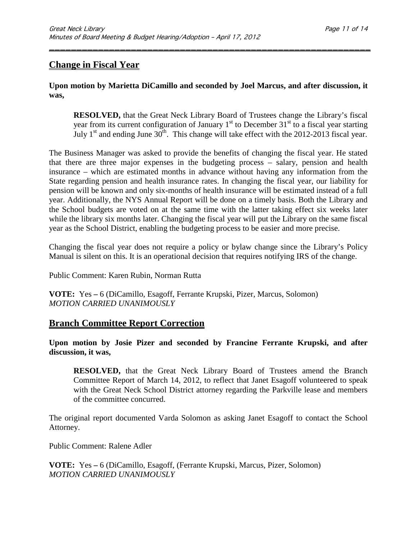### **Change in Fiscal Year**

#### **Upon motion by Marietta DiCamillo and seconded by Joel Marcus, and after discussion, it was,**

\_\_\_\_\_\_\_\_\_\_\_\_\_\_\_\_\_\_\_\_\_\_\_\_\_\_\_\_\_\_\_\_\_\_\_\_\_\_\_\_\_\_\_\_\_\_\_\_\_\_\_\_\_\_\_\_\_\_\_

**RESOLVED,** that the Great Neck Library Board of Trustees change the Library's fiscal year from its current configuration of January  $1<sup>st</sup>$  to December  $31<sup>st</sup>$  to a fiscal year starting July 1<sup>st</sup> and ending June  $30<sup>th</sup>$ . This change will take effect with the 2012-2013 fiscal year.

The Business Manager was asked to provide the benefits of changing the fiscal year. He stated that there are three major expenses in the budgeting process – salary, pension and health insurance – which are estimated months in advance without having any information from the State regarding pension and health insurance rates. In changing the fiscal year, our liability for pension will be known and only six-months of health insurance will be estimated instead of a full year. Additionally, the NYS Annual Report will be done on a timely basis. Both the Library and the School budgets are voted on at the same time with the latter taking effect six weeks later while the library six months later. Changing the fiscal year will put the Library on the same fiscal year as the School District, enabling the budgeting process to be easier and more precise.

Changing the fiscal year does not require a policy or bylaw change since the Library's Policy Manual is silent on this. It is an operational decision that requires notifying IRS of the change.

Public Comment: Karen Rubin, Norman Rutta

**VOTE:** Yes **–** 6 (DiCamillo, Esagoff, Ferrante Krupski, Pizer, Marcus, Solomon) *MOTION CARRIED UNANIMOUSLY*

### **Branch Committee Report Correction**

#### **Upon motion by Josie Pizer and seconded by Francine Ferrante Krupski, and after discussion, it was,**

**RESOLVED,** that the Great Neck Library Board of Trustees amend the Branch Committee Report of March 14, 2012, to reflect that Janet Esagoff volunteered to speak with the Great Neck School District attorney regarding the Parkville lease and members of the committee concurred.

The original report documented Varda Solomon as asking Janet Esagoff to contact the School Attorney.

Public Comment: Ralene Adler

**VOTE:** Yes **–** 6 (DiCamillo, Esagoff, (Ferrante Krupski, Marcus, Pizer, Solomon) *MOTION CARRIED UNANIMOUSLY*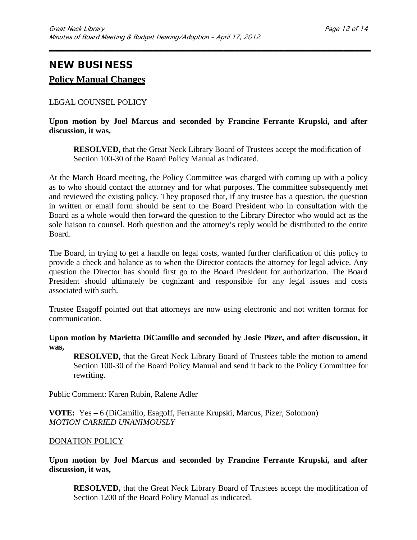# **NEW BUSINESS Policy Manual Changes**

#### LEGAL COUNSEL POLICY

#### **Upon motion by Joel Marcus and seconded by Francine Ferrante Krupski, and after discussion, it was,**

\_\_\_\_\_\_\_\_\_\_\_\_\_\_\_\_\_\_\_\_\_\_\_\_\_\_\_\_\_\_\_\_\_\_\_\_\_\_\_\_\_\_\_\_\_\_\_\_\_\_\_\_\_\_\_\_\_\_\_

**RESOLVED,** that the Great Neck Library Board of Trustees accept the modification of Section 100-30 of the Board Policy Manual as indicated.

At the March Board meeting, the Policy Committee was charged with coming up with a policy as to who should contact the attorney and for what purposes. The committee subsequently met and reviewed the existing policy. They proposed that, if any trustee has a question, the question in written or email form should be sent to the Board President who in consultation with the Board as a whole would then forward the question to the Library Director who would act as the sole liaison to counsel. Both question and the attorney's reply would be distributed to the entire Board.

The Board, in trying to get a handle on legal costs, wanted further clarification of this policy to provide a check and balance as to when the Director contacts the attorney for legal advice. Any question the Director has should first go to the Board President for authorization. The Board President should ultimately be cognizant and responsible for any legal issues and costs associated with such.

Trustee Esagoff pointed out that attorneys are now using electronic and not written format for communication.

#### **Upon motion by Marietta DiCamillo and seconded by Josie Pizer, and after discussion, it was,**

**RESOLVED,** that the Great Neck Library Board of Trustees table the motion to amend Section 100-30 of the Board Policy Manual and send it back to the Policy Committee for rewriting.

Public Comment: Karen Rubin, Ralene Adler

**VOTE:** Yes **–** 6 (DiCamillo, Esagoff, Ferrante Krupski, Marcus, Pizer, Solomon) *MOTION CARRIED UNANIMOUSLY*

#### DONATION POLICY

**Upon motion by Joel Marcus and seconded by Francine Ferrante Krupski, and after discussion, it was,**

**RESOLVED,** that the Great Neck Library Board of Trustees accept the modification of Section 1200 of the Board Policy Manual as indicated.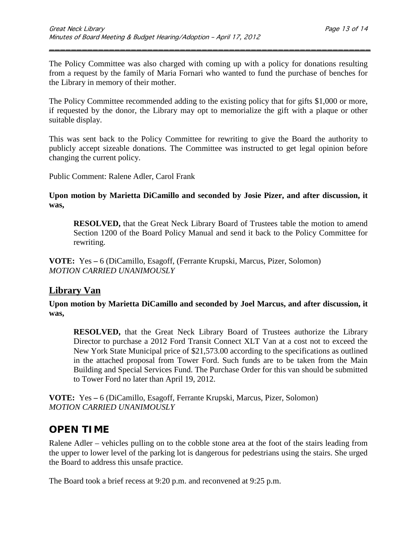The Policy Committee was also charged with coming up with a policy for donations resulting from a request by the family of Maria Fornari who wanted to fund the purchase of benches for the Library in memory of their mother.

\_\_\_\_\_\_\_\_\_\_\_\_\_\_\_\_\_\_\_\_\_\_\_\_\_\_\_\_\_\_\_\_\_\_\_\_\_\_\_\_\_\_\_\_\_\_\_\_\_\_\_\_\_\_\_\_\_\_\_

The Policy Committee recommended adding to the existing policy that for gifts \$1,000 or more, if requested by the donor, the Library may opt to memorialize the gift with a plaque or other suitable display.

This was sent back to the Policy Committee for rewriting to give the Board the authority to publicly accept sizeable donations. The Committee was instructed to get legal opinion before changing the current policy.

Public Comment: Ralene Adler, Carol Frank

#### **Upon motion by Marietta DiCamillo and seconded by Josie Pizer, and after discussion, it was,**

**RESOLVED,** that the Great Neck Library Board of Trustees table the motion to amend Section 1200 of the Board Policy Manual and send it back to the Policy Committee for rewriting.

**VOTE:** Yes **–** 6 (DiCamillo, Esagoff, (Ferrante Krupski, Marcus, Pizer, Solomon) *MOTION CARRIED UNANIMOUSLY*

### **Library Van**

**Upon motion by Marietta DiCamillo and seconded by Joel Marcus, and after discussion, it was,**

**RESOLVED,** that the Great Neck Library Board of Trustees authorize the Library Director to purchase a 2012 Ford Transit Connect XLT Van at a cost not to exceed the New York State Municipal price of \$21,573.00 according to the specifications as outlined in the attached proposal from Tower Ford. Such funds are to be taken from the Main Building and Special Services Fund. The Purchase Order for this van should be submitted to Tower Ford no later than April 19, 2012.

**VOTE:** Yes **–** 6 (DiCamillo, Esagoff, Ferrante Krupski, Marcus, Pizer, Solomon) *MOTION CARRIED UNANIMOUSLY*

# **OPEN TIME**

Ralene Adler – vehicles pulling on to the cobble stone area at the foot of the stairs leading from the upper to lower level of the parking lot is dangerous for pedestrians using the stairs. She urged the Board to address this unsafe practice.

The Board took a brief recess at 9:20 p.m. and reconvened at 9:25 p.m.